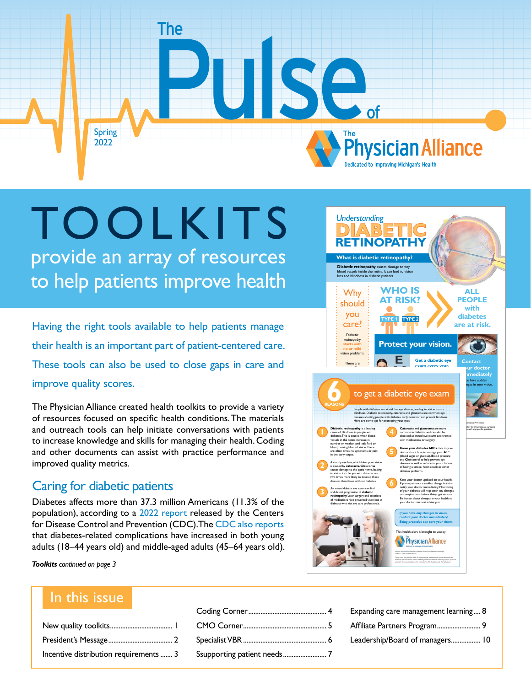<span id="page-0-0"></span>

# provide an array of resources TOOLKITS

to help patients improve health

Having the right tools available to help patients manage their health is an important part of patient-centered care. These tools can also be used to close gaps in care and improve quality scores.

The Physician Alliance created health toolkits to provide a variety of resources focused on specific health conditions. The materials and outreach tools can help initiate conversations with patients to increase knowledge and skills for managing their health. Coding and other documents can assist with practice performance and improved quality metrics.

#### Caring for diabetic patients

Diabetes affects more than 37.3 million Americans (11.3% of the population), according to a [2022 report](https://www.cdc.gov/diabetes/data/statistics-report/index.html?ACSTrackingID=DM72996&ACSTrackingLabel=New%20Report%20Shares%20Latest%20Diabetes%20Stats%20&deliveryName=DM72996) released by the Centers for Disease Control and Prevention (CDC). The [CDC also reports](https://www.cdc.gov/diabetes/library/reports/reportcard.html) that diabetes-related complications have increased in both young adults (18–44 years old) and middle-aged adults (45–64 years old).

*Toolkits [continued on page 3](#page-2-0)*



#### In this issue

|  | Incentive distribution requirements  3 Ssupporting patient needs  7 |
|--|---------------------------------------------------------------------|

[Expanding care management learning....](#page-7-0) 8 [Affiliate Partners Program](#page-8-0)......................... 9 [Leadership/Board of managers.................](#page-9-0) 10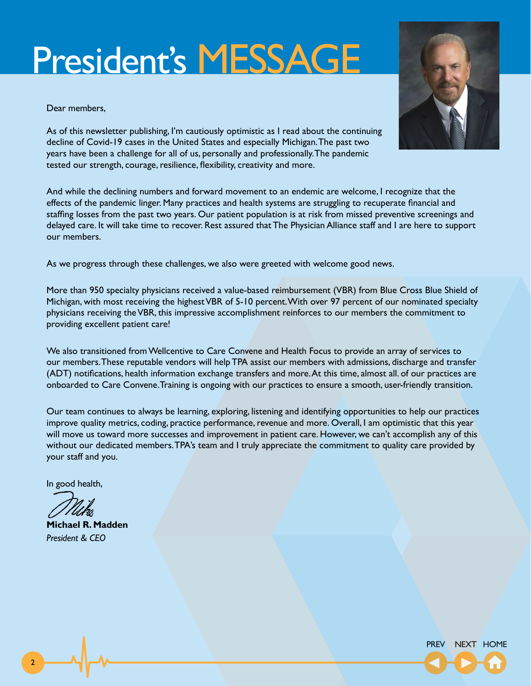# <span id="page-1-0"></span>President's MESSAGE

Dear members,



As of this newsletter publishing, I'm cautiously optimistic as I read about the continuing decline of Covid-19 cases in the United States and especially Michigan. The past two years have been a challenge for all of us, personally and professionally. The pandemic tested our strength, courage, resilience, flexibility, creativity and more.

And while the declining numbers and forward movement to an endemic are welcome, I recognize that the effects of the pandemic linger. Many practices and health systems are struggling to recuperate financial and staffing losses from the past two years. Our patient population is at risk from missed preventive screenings and delayed care. It will take time to recover. Rest assured that The Physician Alliance staff and I are here to support our members.

As we progress through these challenges, we also were greeted with welcome good news.

More than 950 specialty physicians received a value-based reimbursement (VBR) from Blue Cross Blue Shield of Michigan, with most receiving the highest VBR of 5-10 percent. With over 97 percent of our nominated specialty physicians receiving the VBR, this impressive accomplishment reinforces to our members the commitment to providing excellent patient care!

We also transitioned from Wellcentive to Care Convene and Health Focus to provide an array of services to our members. These reputable vendors will help TPA assist our members with admissions, discharge and transfer (ADT) notifications, health information exchange transfers and more. At this time, almost all. of our practices are onboarded to Care Convene.Training is ongoing with our practices to ensure a smooth, user-friendly transition.

Our team continues to always be learning, exploring, listening and identifying opportunities to help our practices improve quality metrics, coding, practice performance, revenue and more. Overall, I am optimistic that this year will move us toward more successes and improvement in patient care. However, we can't accomplish any of this without our dedicated members. TPA's team and I truly appreciate the commitment to quality care provided by your staff and you.

In good health,

**Michael R. Madden** *President & CEO*

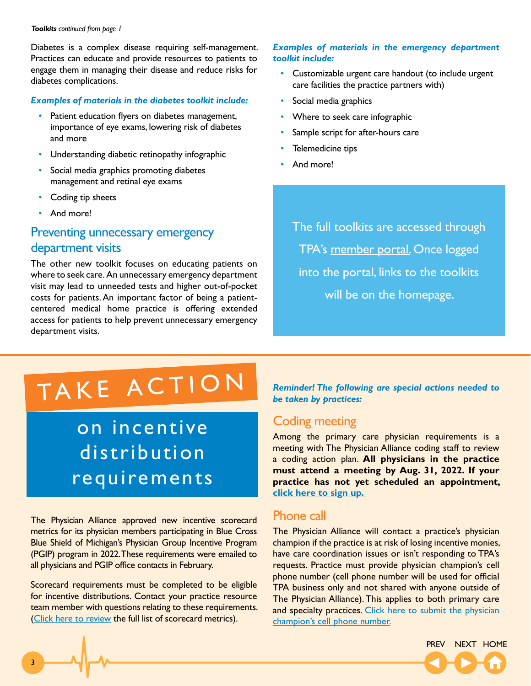#### <span id="page-2-0"></span>*Toolkits [continued from page 1](#page-0-0)*

Diabetes is a complex disease requiring self-management. Practices can educate and provide resources to patients to engage them in managing their disease and reduce risks for diabetes complications.

#### *Examples of materials in the diabetes toolkit include:*

- Patient education flyers on diabetes management, importance of eye exams, lowering risk of diabetes and more
- Understanding diabetic retinopathy infographic
- Social media graphics promoting diabetes management and retinal eye exams
- Coding tip sheets
- And more!

#### Preventing unnecessary emergency department visits

The other new toolkit focuses on educating patients on where to seek care. An unnecessary emergency department visit may lead to unneeded tests and higher out-of-pocket costs for patients. An important factor of being a patientcentered medical home practice is offering extended access for patients to help prevent unnecessary emergency department visits.

#### *Examples of materials in the emergency department toolkit include:*

- Customizable urgent care handout (to include urgent care facilities the practice partners with)
- Social media graphics
- Where to seek care infographic
- Sample script for after-hours care
- Telemedicine tips
- And more!

The full toolkits are accessed through TPA's [member portal.](https://secure.tpareporting.org/login) Once logged into the portal, links to the toolkits will be on the homepage.

# TAKE ACTION

## on incentive distribution requirements

The Physician Alliance approved new incentive scorecard metrics for its physician members participating in Blue Cross Blue Shield of Michigan's Physician Group Incentive Program (PGIP) program in 2022. These requirements were emailed to all physicians and PGIP office contacts in February.

Scorecard requirements must be completed to be eligible for incentive distributions. Contact your practice resource team member with questions relating to these requirements. [\(Click here to review](https://conta.cc/3ujofP8) the full list of scorecard metrics).

*Reminder! The following are special actions needed to be taken by practices:*

#### Coding meeting

Among the primary care physician requirements is a meeting with The Physician Alliance coding staff to review a coding action plan. **All physicians in the practice must attend a meeting by Aug. 31, 2022. If your practice has not yet scheduled an appointment, [click here to sign up.](https://www.signupgenius.com/go/10c0d4baca622aafdc61-tparisk)** 

#### Phone call

The Physician Alliance will contact a practice's physician champion if the practice is at risk of losing incentive monies, have care coordination issues or isn't responding to TPA's requests. Practice must provide physician champion's [cell](https://fs7.formsite.com/thephysicianalliance/aq33at9ohi/index.html)  [phone number](https://fs7.formsite.com/thephysicianalliance/aq33at9ohi/index.html) (cell phone number will be used for official TPA business only and not shared with anyone outside of The Physician Alliance). This applies to both primary care and specialty practices. [Click here to submit the physician](https://fs7.formsite.com/thephysicianalliance/aq33at9ohi/index.html) [champion's cell phone number.](https://fs7.formsite.com/thephysicianalliance/aq33at9ohi/index.html)

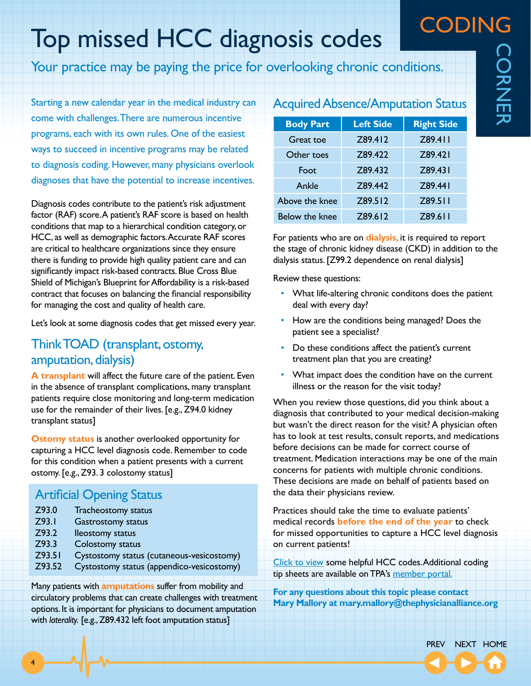## <span id="page-3-0"></span>Top missed HCC diagnosis codes

Your practice may be paying the price for overlooking chronic conditions.

Starting a new calendar year in the medical industry can come with challenges. There are numerous incentive programs, each with its own rules. One of the easiest ways to succeed in incentive programs may be related to diagnosis coding. However, many physicians overlook diagnoses that have the potential to increase incentives.

Diagnosis codes contribute to the patient's risk adjustment factor (RAF) score. A patient's RAF score is based on health conditions that map to a hierarchical condition category, or HCC, as well as demographic factors. Accurate RAF scores are critical to healthcare organizations since they ensure there is funding to provide high quality patient care and can significantly impact risk-based contracts. Blue Cross Blue Shield of Michigan's Blueprint for Affordability is a risk-based contract that focuses on balancing the financial responsibility for managing the cost and quality of health care.

Let's look at some diagnosis codes that get missed every year.

### Think TOAD (transplant, ostomy, amputation, dialysis)

**A transplant** will affect the future care of the patient. Even in the absence of transplant complications, many transplant patients require close monitoring and long-term medication use for the remainder of their lives. [e.g., Z94.0 kidney transplant status]

**Ostomy status** is another overlooked opportunity for capturing a HCC level diagnosis code. Remember to code for this condition when a patient presents with a current ostomy. [e.g., Z93. 3 colostomy status]

### Artificial Opening Status

- Z93.0 Tracheostomy status
- Z93.1 Gastrostomy status
- Z93.2 Ileostomy status
- Z93.3 Colostomy status
- Z93.51 Cystostomy status (cutaneous-vesicostomy)
- Z93.52 Cystostomy status (appendico-vesicostomy)

Many patients with **amputations** suffer from mobility and circulatory problems that can create challenges with treatment options. It is important for physicians to document amputation with *laterality.* [e.g., Z89.432 left foot amputation status]

### Acquired Absence/Amputation Status

| <b>Body Part</b> | <b>Left Side</b> | <b>Right Side</b> |
|------------------|------------------|-------------------|
| <b>Great toe</b> | Z89.412          | Z89.411           |
| Other toes       | Z89.422          | Z89.421           |
| Foot             | Z89.432          | Z89.431           |
| Ankle            | Z89.442          | Z89.441           |
| Above the knee   | Z89.512          | Z89.511           |
| Below the knee   | Z89.612          | Z89.611           |

For patients who are on **dialysis,** it is required to report the stage of chronic kidney disease (CKD) in addition to the dialysis status. [Z99.2 dependence on renal dialysis]

Review these questions:

- What life-altering chronic conditons does the patient deal with every day?
- How are the conditions being managed? Does the patient see a specialist?
- Do these conditions affect the patient's current treatment plan that you are creating?
- What impact does the condition have on the current illness or the reason for the visit today?

When you review those questions, did you think about a diagnosis that contributed to your medical decision-making but wasn't the direct reason for the visit? A physician often has to look at test results, consult reports, and medications before decisions can be made for correct course of treatment. Medication interactions may be one of the main concerns for patients with multiple chronic conditions. These decisions are made on behalf of patients based on the data their physicians review.

Practices should take the time to evaluate patients' medical records **before the end of the year** to check for missed opportunities to capture a HCC level diagnosis on current patients!

[Click to view](https://files.constantcontact.com/9a986fe2301/d92f37e3-98d4-4616-9c88-2d3877211cce.pdf?rdr=true) some helpful HCC codes. Additional coding tip sheets are available on TPA's [member portal.](http://tpareporting.org )

**For any questions about this topic please contact Mary Mallory at mary.mallory@thephysicianalliance.org**

**CODING CORNER ORNER** 

PREV NEXT [HOME](#page-0-0)

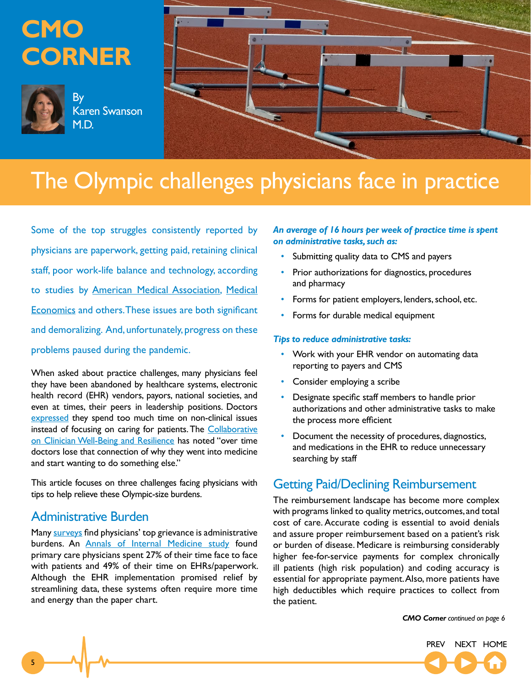## <span id="page-4-0"></span>**CMO CORNER**



By Karen Swanson M.D.



## The Olympic challenges physicians face in practice

Some of the top struggles consistently reported by physicians are paperwork, getting paid, retaining clinical staff, poor work-life balance and technology, according to studies by [American Medical Association,](https://www.policymed.com/2017/04/ama-releases-satisfaction-and-stress-survey-results-of-physicians.html) [Medical](https://www.medicaleconomics.com/view/2021-physician-report-the-top-challenges-facing-physicians-right-now) [Economics](https://www.medicaleconomics.com/view/2021-physician-report-the-top-challenges-facing-physicians-right-now) and others. These issues are both significant and demoralizing. And, unfortunately, progress on these problems paused during the pandemic.

When asked about practice challenges, many physicians feel they have been abandoned by healthcare systems, electronic health record (EHR) vendors, payors, national societies, and even at times, their peers in leadership positions. Doctors [expressed](https://www.healthcareitnews.com/news/here-are-major-issues-facing-healthcare-2021-according-pwc) they spend too much time on non-clinical issues instead of focusing on caring for patients. The [Collaborative](https://www.abqaurp.org/DOCS/CEOL42/01_Biddison_NAM_Journey-to-Construct-Conceptual-Model.pdf) [on Clinician Well-Being and Resilience](https://www.abqaurp.org/DOCS/CEOL42/01_Biddison_NAM_Journey-to-Construct-Conceptual-Model.pdf) has noted "over time doctors lose that connection of why they went into medicine and start wanting to do something else."

This article focuses on three challenges facing physicians with tips to help relieve these Olympic-size burdens.

#### Administrative Burden

Many [surveys](https://www.fiercehealthcare.com/practices/for-each-patient-visit-physicians-spend-about-16-minutes-ehrs-study-finds) find physicians' top grievance is administrative burdens. An [Annals of Internal Medicine study](https://www.acpjournals.org/doi/10.7326/m16-2697) found primary care physicians spent 27% of their time face to face with patients and 49% of their time on EHRs/paperwork. Although the EHR implementation promised relief by streamlining data, these systems often require more time and energy than the paper chart.

#### *An average of 16 hours per week of practice time is spent on administrative tasks, such as:*

- Submitting quality data to CMS and payers
- Prior authorizations for diagnostics, procedures and pharmacy
- Forms for patient employers, lenders, school, etc.
- Forms for durable medical equipment

#### *Tips to reduce administrative tasks:*

- Work with your EHR vendor on automating data reporting to payers and CMS
- Consider employing a scribe
- Designate specific staff members to handle prior authorizations and other administrative tasks to make the process more efficient
- Document the necessity of procedures, diagnostics, and medications in the EHR to reduce unnecessary searching by staff

#### Getting Paid/Declining Reimbursement

The reimbursement landscape has become more complex with programs linked to quality metrics, outcomes, and total cost of care. Accurate coding is essential to avoid denials and assure proper reimbursement based on a patient's risk or burden of disease. Medicare is reimbursing considerably higher fee-for-service payments for complex chronically ill patients (high risk population) and coding accuracy is essential for appropriate payment. Also, more patients have high deductibles which require practices to collect from the patient.

*CMO Corner continued on page 6*

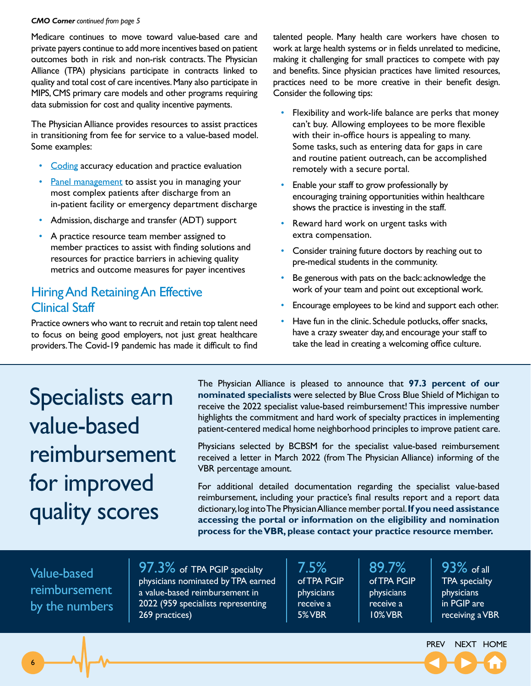#### <span id="page-5-0"></span>*CMO Corner [continued from page](#page-0-0) 5*

Medicare continues to move toward value-based care and private payers continue to add more incentives based on patient outcomes both in risk and non-risk contracts. The Physician Alliance (TPA) physicians participate in contracts linked to quality and total cost of care incentives. Many also participate in MIPS, CMS primary care models and other programs requiring data submission for cost and quality incentive payments.

The Physician Alliance provides resources to assist practices in transitioning from fee for service to a value-based model. Some examples:

- [Coding](https://thephysicianalliance.org/learning-center/coding-tips/) accuracy education and practice evaluation
- [Panel management](https://thephysicianalliance.org/member-services/quality-programs/panel-management/) to assist you in managing your most complex patients after discharge from an in-patient facility or emergency department discharge
- Admission, discharge and transfer (ADT) support
- A practice resource team member assigned to member practices to assist with finding solutions and resources for practice barriers in achieving quality metrics and outcome measures for payer incentives

#### Hiring And Retaining An Effective Clinical Staff

Practice owners who want to recruit and retain top talent need to focus on being good employers, not just great healthcare providers. The Covid-19 pandemic has made it difficult to find talented people. Many health care workers have chosen to work at large health systems or in fields unrelated to medicine, making it challenging for small practices to compete with pay and benefits. Since physician practices have limited resources, practices need to be more creative in their benefit design. Consider the following tips:

- Flexibility and work-life balance are perks that money can't buy. Allowing employees to be more flexible with their in-office hours is appealing to many. Some tasks, such as entering data for gaps in care and routine patient outreach, can be accomplished remotely with a secure portal.
- Enable your staff to grow professionally by encouraging training opportunities within healthcare shows the practice is investing in the staff.
- Reward hard work on urgent tasks with extra compensation.
- Consider training future doctors by reaching out to pre-medical students in the community.
- Be generous with pats on the back: acknowledge the work of your team and point out exceptional work.
- Encourage employees to be kind and support each other.
- Have fun in the clinic. Schedule potlucks, offer snacks, have a crazy sweater day, and encourage your staff to take the lead in creating a welcoming office culture.

Specialists earn value-based reimbursement for improved quality scores

The Physician Alliance is pleased to announce that **97.3 percent of our nominated specialists** were selected by Blue Cross Blue Shield of Michigan to receive the 2022 specialist value-based reimbursement! This impressive number highlights the commitment and hard work of specialty practices in implementing patient-centered medical home neighborhood principles to improve patient care.

Physicians selected by BCBSM for the specialist value-based reimbursement received a letter in March 2022 (from The Physician Alliance) informing of the VBR percentage amount.

For additional detailed documentation regarding the specialist value-based reimbursement, including your practice's final results report and a report data dictionary, log into The Physician Alliance member portal. **If you need assistance accessing the portal or information on the eligibility and nomination process for the VBR, please contact your practice resource member.** 

Value-based reimbursement by the numbers

97.3% of TPA PGIP specialty physicians nominated by TPA earned a value-based reimbursement in 2022 (959 specialists representing 269 practices)

7.5% of TPA PGIP physicians receive a 5% VBR

89.7% of TPA PGIP physicians receive a 10% VBR

93% of all TPA specialty physicians in PGIP are receiving a VBR

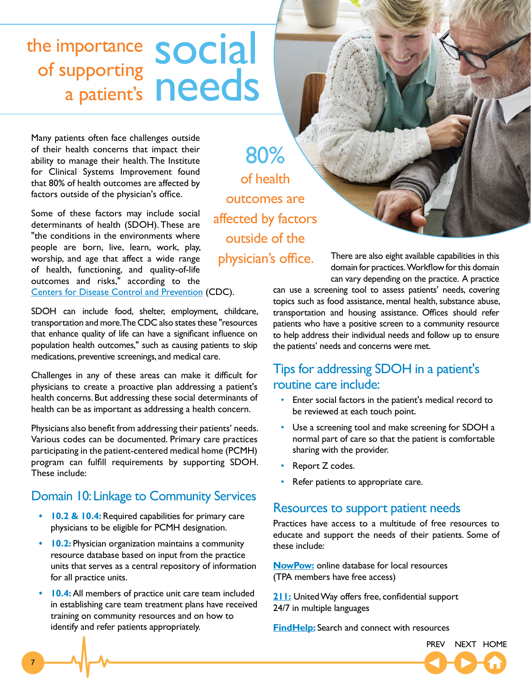## <span id="page-6-0"></span>the importance of supporting upporting<br>a patient's needs social

Many patients often face challenges outside of their health concerns that impact their ability to manage their health. The Institute for Clinical Systems Improvement found that 80% of health outcomes are affected by factors outside of the physician's office.

Some of these factors may include social determinants of health (SDOH). These are "the conditions in the environments where people are born, live, learn, work, play, worship, and age that affect a wide range of health, functioning, and quality-of-life outcomes and risks," according to the [Centers for Disease Control and Prevention](https://www.cdc.gov/socialdeterminants/about.html) (CDC).

SDOH can include food, shelter, employment, childcare, transportation and more. The CDC also states these "resources that enhance quality of life can have a significant influence on population health outcomes," such as causing patients to skip medications, preventive screenings, and medical care.

Challenges in any of these areas can make it difficult for physicians to create a proactive plan addressing a patient's health concerns. But addressing these social determinants of health can be as important as addressing a health concern.

Physicians also benefit from addressing their patients' needs. Various codes can be documented. Primary care practices participating in the patient-centered medical home (PCMH) program can fulfill requirements by supporting SDOH. These include:

### Domain 10: Linkage to Community Services

- **• 10.2 & 10.4:** Required capabilities for primary care physicians to be eligible for PCMH designation.
- **• 10.2:** Physician organization maintains a community resource database based on input from the practice units that serves as a central repository of information for all practice units.
- **• 10.4:** All members of practice unit care team included in establishing care team treatment plans have received training on community resources and on how to identify and refer patients appropriately.

80% of health outcomes are affected by factors outside of the physician's office.

There are also eight available capabilities in this domain for practices. Workflow for this domain can vary depending on the practice. A practice

can use a screening tool to assess patients' needs, covering topics such as food assistance, mental health, substance abuse, transportation and housing assistance. Offices should refer patients who have a positive screen to a community resource to help address their individual needs and follow up to ensure the patients' needs and concerns were met.

#### Tips for addressing SDOH in a patient's routine care include:

- Enter social factors in the patient's medical record to be reviewed at each touch point.
- Use a screening tool and make screening for SDOH a normal part of care so that the patient is comfortable sharing with the provider.
- Report Z codes.
- Refer patients to appropriate care.

#### Resources to support patient needs

Practices have access to a multitude of free resources to educate and support the needs of their patients. Some of these include:

**[NowPow:](https://nowpow.com/)** online database for local resources (TPA members have free access)

**[211:](https://www.mi211.org/)** United Way offers free, confidential support 24/7 in multiple languages

**[FindHelp:](https://www.findhelp.org/)** Search and connect with resources

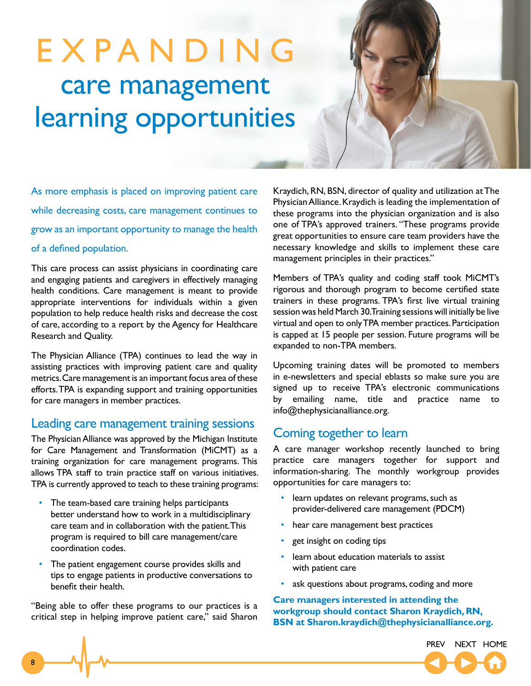# <span id="page-7-0"></span>EXPANDING care management learning opportunities

As more emphasis is placed on improving patient care while decreasing costs, care management continues to grow as an important opportunity to manage the health of a defined population.

This care process can assist physicians in coordinating care and engaging patients and caregivers in effectively managing health conditions. Care management is meant to provide appropriate interventions for individuals within a given population to help reduce health risks and decrease the cost of care, according to a report by the Agency for Healthcare Research and Quality.

The Physician Alliance (TPA) continues to lead the way in assisting practices with improving patient care and quality metrics. Care management is an important focus area of these efforts. TPA is expanding support and training opportunities for care managers in member practices.

#### Leading care management training sessions

The Physician Alliance was approved by the Michigan Institute for Care Management and Transformation (MiCMT) as a training organization for care management programs. This allows TPA staff to train practice staff on various initiatives. TPA is currently approved to teach to these training programs:

- The team-based care training helps participants better understand how to work in a multidisciplinary care team and in collaboration with the patient. This program is required to bill care management/care coordination codes.
- The patient engagement course provides skills and tips to engage patients in productive conversations to benefit their health.

"Being able to offer these programs to our practices is a critical step in helping improve patient care," said Sharon

Kraydich, RN, BSN, director of quality and utilization at The Physician Alliance. Kraydich is leading the implementation of these programs into the physician organization and is also one of TPA's approved trainers. "These programs provide great opportunities to ensure care team providers have the necessary knowledge and skills to implement these care management principles in their practices."

Members of TPA's quality and coding staff took MiCMT's rigorous and thorough program to become certified state trainers in these programs. TPA's first live virtual training session was held March 30. Training sessions will initially be live virtual and open to only TPA member practices. Participation is capped at 15 people per session. Future programs will be expanded to non-TPA members.

Upcoming training dates will be promoted to members in e-newsletters and special eblasts so make sure you are signed up to receive TPA's electronic communications by emailing name, title and practice name to info@thephysicianalliance.org.

#### Coming together to learn

A care manager workshop recently launched to bring practice care managers together for support and information-sharing. The monthly workgroup provides opportunities for care managers to:

- learn updates on relevant programs, such as provider-delivered care management (PDCM)
- hear care management best practices
- get insight on coding tips
- learn about education materials to assist with patient care
- ask questions about programs, coding and more

**Care managers interested in attending the workgroup should contact Sharon Kraydich, RN, BSN at Sharon.kraydich@thephysicianalliance.org.**

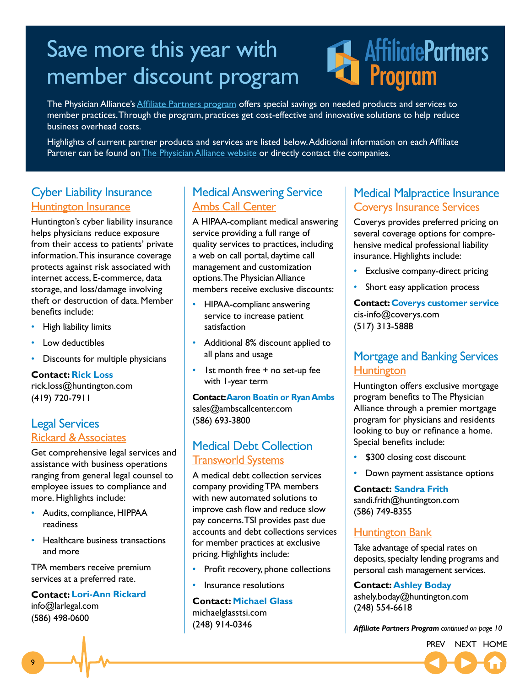## <span id="page-8-0"></span>Save more this year with member discount program

## **AffiliatePartners** Program

The Physician Alliance's **[Affiliate Partners program](http://thephysicianalliance.org/index.php/affiliate-partners)** offers special savings on needed products and services to member practices. Through the program, practices get cost-effective and innovative solutions to help reduce business overhead costs.

Highlights of current partner products and services are listed below. Additional information on each Affiliate Partner can be found on **The Physician Alliance website** or directly contact the companies.

### Cyber Liability Insurance [Huntington Insurance](http://thephysicianalliance.org/index.php/cyber-liability-insurance)

Huntington's cyber liability insurance helps physicians reduce exposure from their access to patients' private information. This insurance coverage protects against risk associated with internet access, E-commerce, data storage, and loss/damage involving theft or destruction of data. Member benefits include:

- High liability limits
- Low deductibles
- Discounts for multiple physicians

**Contact: Rick Loss** rick.loss@huntington.com

(419) 720-7911

#### Legal Services [Rickard & Associates](http://thephysicianalliance.org/index.php/legal-services)

Get comprehensive legal services and assistance with business operations ranging from general legal counsel to employee issues to compliance and more. Highlights include:

- Audits, compliance, HIPPAA readiness
- Healthcare business transactions and more

TPA members receive premium services at a preferred rate.

**Contact: Lori-Ann Rickard**

[info@larlegal.com](mailto:info@larlegal.com) (586) 498-0600

#### Medical Answering Service [Ambs Call Center](http://thephysicianalliance.org/index.php/medical-answering-services)

A HIPAA-compliant medical answering service providing a full range of quality services to practices, including a web on call portal, daytime call management and customization options. The Physician Alliance members receive exclusive discounts:

- HIPAA-compliant answering service to increase patient satisfaction
- Additional 8% discount applied to all plans and usage
- Ist month free + no set-up fee with 1-year term

**Contact: Aaron Boatin or Ryan Ambs** sales@ambscallcenter.com (586) 693-3800

#### Medical Debt Collection [Transworld Systems](http://thephysicianalliance.org/index.php/affiliate-partners/accounts-receivable-collections)

A medical debt collection services company providing TPA members with new automated solutions to improve cash flow and reduce slow pay concerns. TSI provides past due accounts and debt collections services for member practices at exclusive pricing. Highlights include:

- Profit recovery, phone collections
- Insurance resolutions

#### **Contact: Michael Glass**

[michaelglasstsi.com](mailto:michaelglasstsi@tsi.com) (248) 914-0346

#### Medical Malpractice Insurance [Coverys](https://thephysicianalliance.org/affiliate-partners/medical-malpractice-insurance/) Insurance Services

Coverys provides preferred pricing on several coverage options for comprehensive medical professional liability insurance. Highlights include:

- Exclusive company-direct pricing
- Short easy application process

**Contact: Coverys customer service** cis-info@coverys.com (517) 313-5888

#### Mortgage and Banking Services **[Huntington](https://thephysicianalliance.org/affiliate-partners/mortgage-program/)**

Huntington offers exclusive mortgage program benefits to The Physician Alliance through a premier mortgage program for physicians and residents looking to buy or refinance a home. Special benefits include:

- \$300 closing cost discount
- Down payment assistance options

**Contact: Sandra Frith** sandi.frith@huntington.com (586) 749-8355

#### **[Huntington Bank](https://thephysicianalliance.org/affiliate-partners/mortgage-program/)**

Take advantage of special rates on deposits, specialty lending programs and personal cash management services.

**Contact: Ashley Boday** ashely.boday@huntington.com (248) 554-6618

*Affiliate Partners Program [continued on page](#page-0-0) 10*